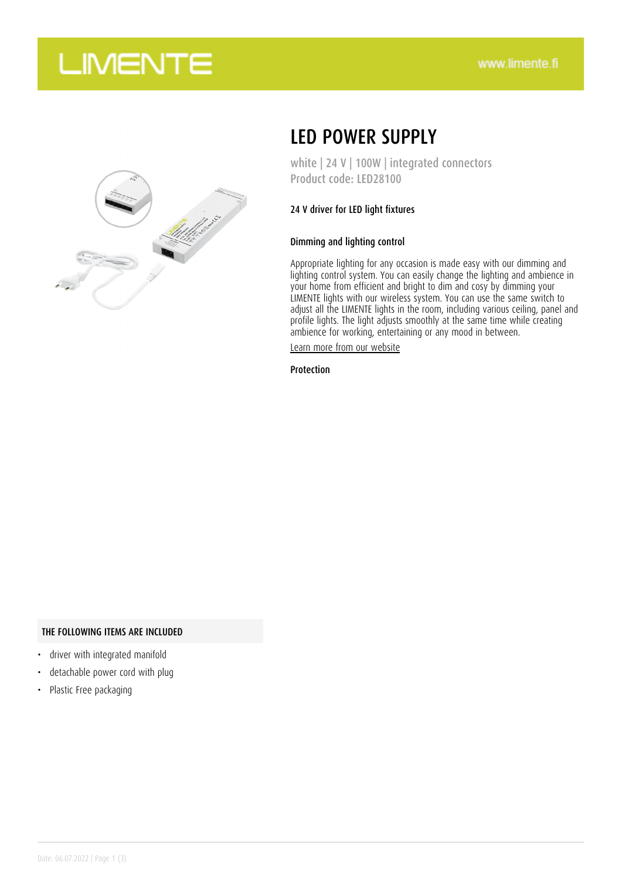## **LIMENTE**



## LED POWER SUPPLY

white | 24 V | 100W | integrated connectors Product code: LED28100

### 24 V driver for LED light fixtures

### Dimming and lighting control

Appropriate lighting for any occasion is made easy with our dimming and lighting control system. You can easily change the lighting and ambience in your home from efficient and bright to dim and cosy by dimming your LIMENTE lights with our wireless system. You can use the same switch to adjust all the LIMENTE lights in the room, including various ceiling, panel and profile lights. The light adjusts smoothly at the same time while creating ambience for working, entertaining or any mood in between.

[Learn more from our website](https://www.limente.fi/tuotteet/LED28100)

Protection

#### THE FOLLOWING ITEMS ARE INCLUDED

- driver with integrated manifold
- detachable power cord with plug
- Plastic Free packaging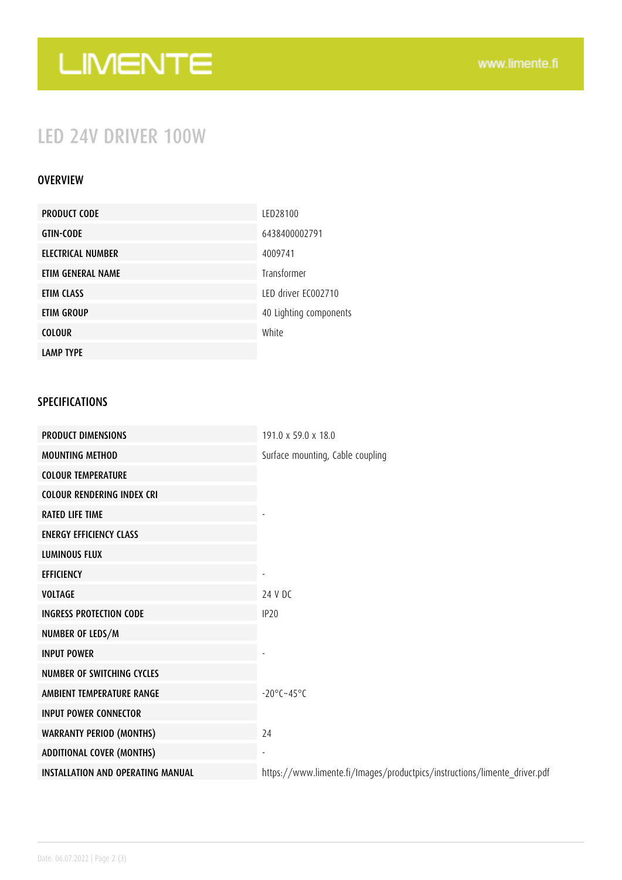# LIMENTE

## LED 24V DRIVER 100W

### **OVERVIEW**

| <b>PRODUCT CODE</b> | LED28100               |
|---------------------|------------------------|
| <b>GTIN-CODE</b>    | 6438400002791          |
| ELECTRICAL NUMBER   | 4009741                |
| ETIM GENERAL NAME   | Transformer            |
| ETIM CLASS          | LED driver EC002710    |
| <b>ETIM GROUP</b>   | 40 Lighting components |
| <b>COLOUR</b>       | White                  |
| <b>LAMP TYPE</b>    |                        |

### SPECIFICATIONS

| <b>PRODUCT DIMENSIONS</b>                | 191.0 x 59.0 x 18.0                                                       |
|------------------------------------------|---------------------------------------------------------------------------|
| <b>MOUNTING METHOD</b>                   | Surface mounting, Cable coupling                                          |
| <b>COLOUR TEMPERATURE</b>                |                                                                           |
| <b>COLOUR RENDERING INDEX CRI</b>        |                                                                           |
| <b>RATED LIFE TIME</b>                   |                                                                           |
| <b>ENERGY EFFICIENCY CLASS</b>           |                                                                           |
| <b>LUMINOUS FLUX</b>                     |                                                                           |
| <b>EFFICIENCY</b>                        |                                                                           |
| <b>VOLTAGE</b>                           | 24 V DC                                                                   |
| <b>INGRESS PROTECTION CODE</b>           | IP <sub>20</sub>                                                          |
| NUMBER OF LEDS/M                         |                                                                           |
| <b>INPUT POWER</b>                       |                                                                           |
| <b>NUMBER OF SWITCHING CYCLES</b>        |                                                                           |
| AMBIENT TEMPERATURE RANGE                | $-20^{\circ}$ C $-45^{\circ}$ C                                           |
| <b>INPUT POWER CONNECTOR</b>             |                                                                           |
| <b>WARRANTY PERIOD (MONTHS)</b>          | 24                                                                        |
| <b>ADDITIONAL COVER (MONTHS)</b>         |                                                                           |
| <b>INSTALLATION AND OPERATING MANUAL</b> | https://www.limente.fi/Images/productpics/instructions/limente_driver.pdf |